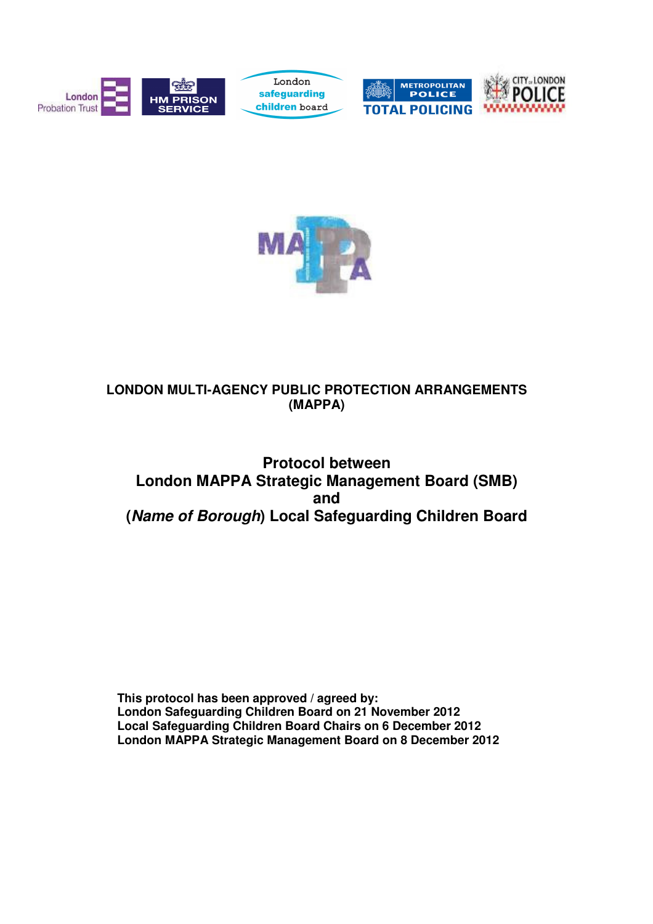



## **LONDON MULTI-AGENCY PUBLIC PROTECTION ARRANGEMENTS (MAPPA)**

# **Protocol between London MAPPA Strategic Management Board (SMB) and (Name of Borough) Local Safeguarding Children Board**

**This protocol has been approved / agreed by: London Safeguarding Children Board on 21 November 2012 Local Safeguarding Children Board Chairs on 6 December 2012 London MAPPA Strategic Management Board on 8 December 2012**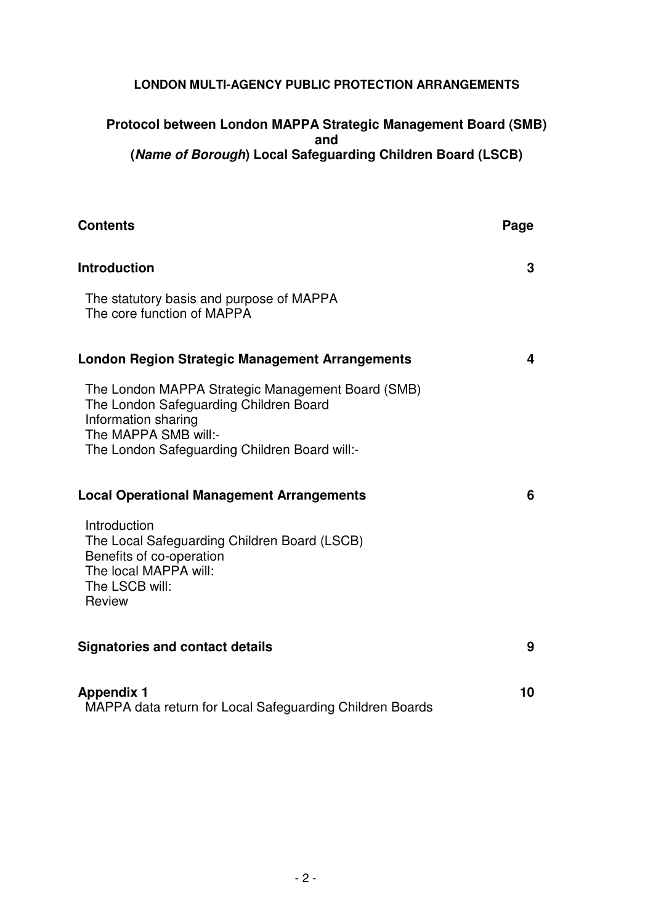#### **LONDON MULTI-AGENCY PUBLIC PROTECTION ARRANGEMENTS**

### **Protocol between London MAPPA Strategic Management Board (SMB) and (Name of Borough) Local Safeguarding Children Board (LSCB)**

| <b>Contents</b>                                                                                                                                                                             | Page |
|---------------------------------------------------------------------------------------------------------------------------------------------------------------------------------------------|------|
| <b>Introduction</b>                                                                                                                                                                         | 3    |
| The statutory basis and purpose of MAPPA<br>The core function of MAPPA                                                                                                                      |      |
| <b>London Region Strategic Management Arrangements</b>                                                                                                                                      | 4    |
| The London MAPPA Strategic Management Board (SMB)<br>The London Safeguarding Children Board<br>Information sharing<br>The MAPPA SMB will:-<br>The London Safeguarding Children Board will:- |      |
| <b>Local Operational Management Arrangements</b>                                                                                                                                            | 6    |
| Introduction<br>The Local Safeguarding Children Board (LSCB)<br>Benefits of co-operation<br>The local MAPPA will:<br>The LSCB will:<br>Review                                               |      |
| <b>Signatories and contact details</b>                                                                                                                                                      | 9    |
| <b>Appendix 1</b><br>MAPPA data return for Local Safeguarding Children Boards                                                                                                               | 10   |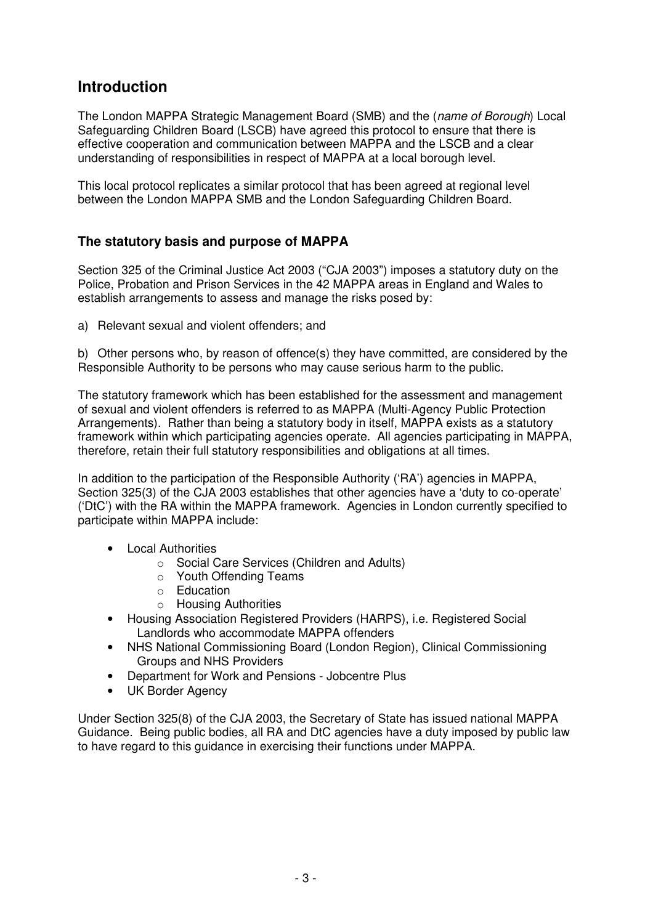# **Introduction**

The London MAPPA Strategic Management Board (SMB) and the (name of Borough) Local Safeguarding Children Board (LSCB) have agreed this protocol to ensure that there is effective cooperation and communication between MAPPA and the LSCB and a clear understanding of responsibilities in respect of MAPPA at a local borough level.

This local protocol replicates a similar protocol that has been agreed at regional level between the London MAPPA SMB and the London Safeguarding Children Board.

## **The statutory basis and purpose of MAPPA**

 Section 325 of the Criminal Justice Act 2003 ("CJA 2003") imposes a statutory duty on the Police, Probation and Prison Services in the 42 MAPPA areas in England and Wales to establish arrangements to assess and manage the risks posed by:

a) Relevant sexual and violent offenders; and

b) Other persons who, by reason of offence(s) they have committed, are considered by the Responsible Authority to be persons who may cause serious harm to the public.

The statutory framework which has been established for the assessment and management of sexual and violent offenders is referred to as MAPPA (Multi-Agency Public Protection Arrangements). Rather than being a statutory body in itself, MAPPA exists as a statutory framework within which participating agencies operate. All agencies participating in MAPPA, therefore, retain their full statutory responsibilities and obligations at all times.

In addition to the participation of the Responsible Authority ('RA') agencies in MAPPA, Section 325(3) of the CJA 2003 establishes that other agencies have a 'duty to co-operate' ('DtC') with the RA within the MAPPA framework. Agencies in London currently specified to participate within MAPPA include:

- Local Authorities
	- o Social Care Services (Children and Adults)
	- o Youth Offending Teams
	- o Education
	- o Housing Authorities
- Housing Association Registered Providers (HARPS), i.e. Registered Social Landlords who accommodate MAPPA offenders
- NHS National Commissioning Board (London Region), Clinical Commissioning Groups and NHS Providers
- Department for Work and Pensions Jobcentre Plus
- UK Border Agency

Under Section 325(8) of the CJA 2003, the Secretary of State has issued national MAPPA Guidance. Being public bodies, all RA and DtC agencies have a duty imposed by public law to have regard to this guidance in exercising their functions under MAPPA.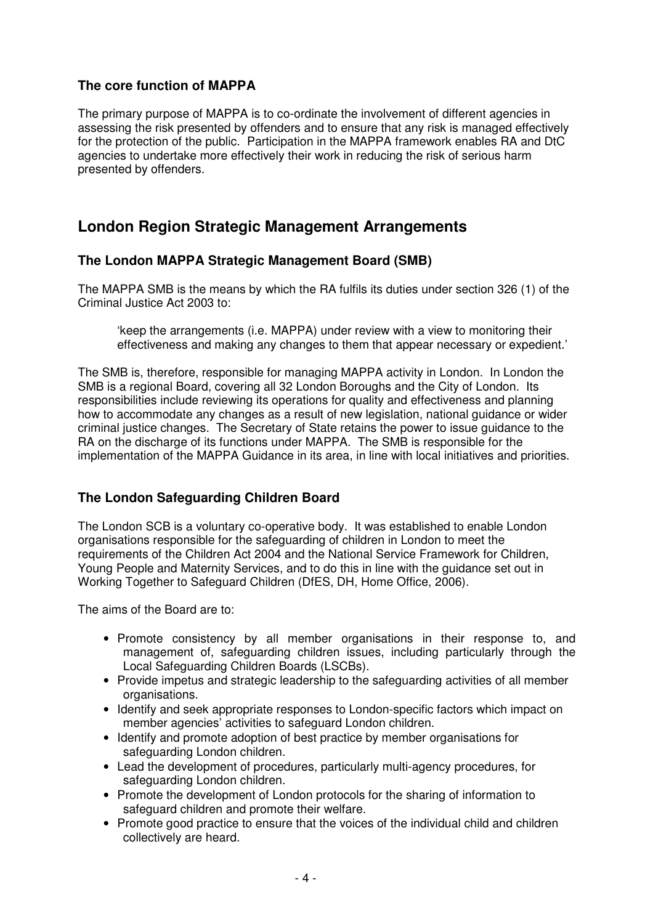## **The core function of MAPPA**

The primary purpose of MAPPA is to co-ordinate the involvement of different agencies in assessing the risk presented by offenders and to ensure that any risk is managed effectively for the protection of the public. Participation in the MAPPA framework enables RA and DtC agencies to undertake more effectively their work in reducing the risk of serious harm presented by offenders.

# **London Region Strategic Management Arrangements**

#### **The London MAPPA Strategic Management Board (SMB)**

The MAPPA SMB is the means by which the RA fulfils its duties under section 326 (1) of the Criminal Justice Act 2003 to:

'keep the arrangements (i.e. MAPPA) under review with a view to monitoring their effectiveness and making any changes to them that appear necessary or expedient.'

The SMB is, therefore, responsible for managing MAPPA activity in London. In London the SMB is a regional Board, covering all 32 London Boroughs and the City of London. Its responsibilities include reviewing its operations for quality and effectiveness and planning how to accommodate any changes as a result of new legislation, national guidance or wider criminal justice changes. The Secretary of State retains the power to issue guidance to the RA on the discharge of its functions under MAPPA. The SMB is responsible for the implementation of the MAPPA Guidance in its area, in line with local initiatives and priorities.

### **The London Safeguarding Children Board**

The London SCB is a voluntary co-operative body. It was established to enable London organisations responsible for the safeguarding of children in London to meet the requirements of the Children Act 2004 and the National Service Framework for Children, Young People and Maternity Services, and to do this in line with the guidance set out in Working Together to Safeguard Children (DfES, DH, Home Office, 2006).

The aims of the Board are to:

- Promote consistency by all member organisations in their response to, and management of, safeguarding children issues, including particularly through the Local Safeguarding Children Boards (LSCBs).
- Provide impetus and strategic leadership to the safeguarding activities of all member organisations.
- Identify and seek appropriate responses to London-specific factors which impact on member agencies' activities to safeguard London children.
- Identify and promote adoption of best practice by member organisations for safeguarding London children.
- Lead the development of procedures, particularly multi-agency procedures, for safeguarding London children.
- Promote the development of London protocols for the sharing of information to safeguard children and promote their welfare.
- Promote good practice to ensure that the voices of the individual child and children collectively are heard.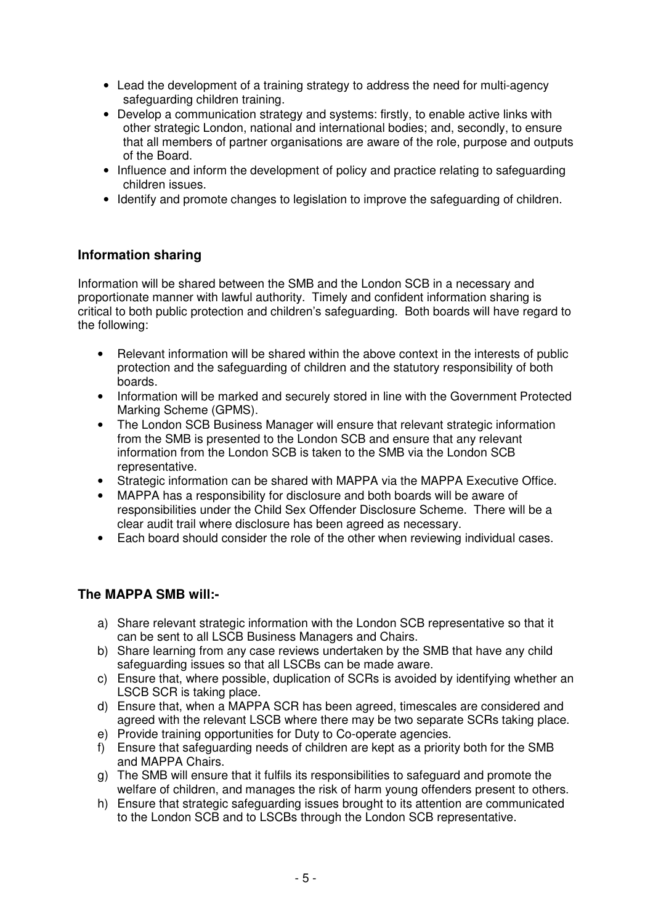- Lead the development of a training strategy to address the need for multi-agency safeguarding children training.
- Develop a communication strategy and systems: firstly, to enable active links with other strategic London, national and international bodies; and, secondly, to ensure that all members of partner organisations are aware of the role, purpose and outputs of the Board.
- Influence and inform the development of policy and practice relating to safeguarding children issues.
- Identify and promote changes to legislation to improve the safeguarding of children.

#### **Information sharing**

Information will be shared between the SMB and the London SCB in a necessary and proportionate manner with lawful authority. Timely and confident information sharing is critical to both public protection and children's safeguarding. Both boards will have regard to the following:

- Relevant information will be shared within the above context in the interests of public protection and the safeguarding of children and the statutory responsibility of both boards.
- Information will be marked and securely stored in line with the Government Protected Marking Scheme (GPMS).
- The London SCB Business Manager will ensure that relevant strategic information from the SMB is presented to the London SCB and ensure that any relevant information from the London SCB is taken to the SMB via the London SCB representative.
- Strategic information can be shared with MAPPA via the MAPPA Executive Office.
- MAPPA has a responsibility for disclosure and both boards will be aware of responsibilities under the Child Sex Offender Disclosure Scheme. There will be a clear audit trail where disclosure has been agreed as necessary.
- Each board should consider the role of the other when reviewing individual cases.

#### **The MAPPA SMB will:-**

- a) Share relevant strategic information with the London SCB representative so that it can be sent to all LSCB Business Managers and Chairs.
- b) Share learning from any case reviews undertaken by the SMB that have any child safeguarding issues so that all LSCBs can be made aware.
- c) Ensure that, where possible, duplication of SCRs is avoided by identifying whether an LSCB SCR is taking place.
- d) Ensure that, when a MAPPA SCR has been agreed, timescales are considered and agreed with the relevant LSCB where there may be two separate SCRs taking place.
- e) Provide training opportunities for Duty to Co-operate agencies.
- f) Ensure that safeguarding needs of children are kept as a priority both for the SMB and MAPPA Chairs.
- g) The SMB will ensure that it fulfils its responsibilities to safeguard and promote the welfare of children, and manages the risk of harm young offenders present to others.
- h) Ensure that strategic safeguarding issues brought to its attention are communicated to the London SCB and to LSCBs through the London SCB representative.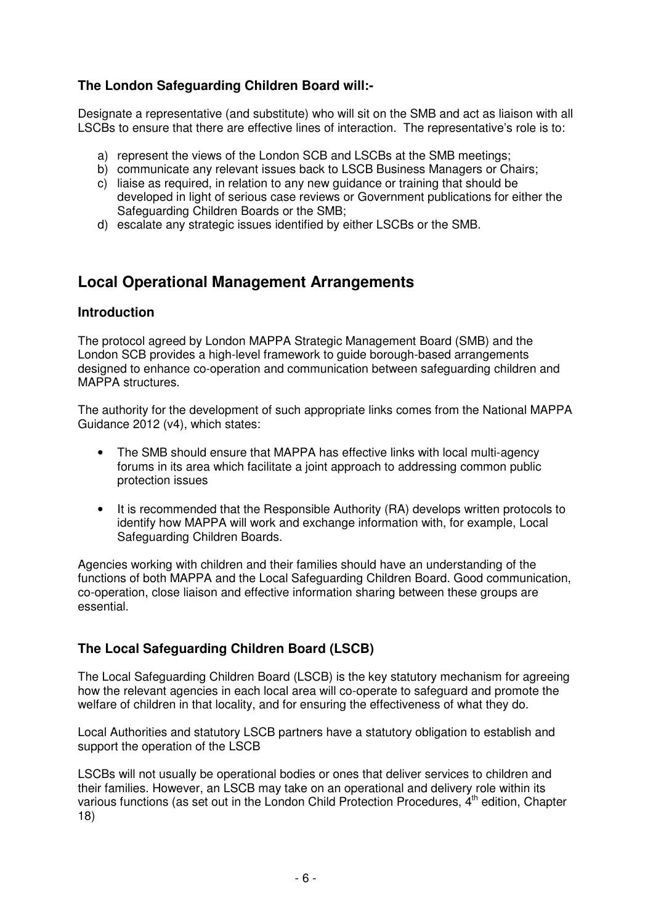## **The London Safeguarding Children Board will:-**

Designate a representative (and substitute) who will sit on the SMB and act as liaison with all LSCBs to ensure that there are effective lines of interaction. The representative's role is to:

- a) represent the views of the London SCB and LSCBs at the SMB meetings;
- b) communicate any relevant issues back to LSCB Business Managers or Chairs;
- c) liaise as required, in relation to any new guidance or training that should be developed in light of serious case reviews or Government publications for either the Safeguarding Children Boards or the SMB;
- d) escalate any strategic issues identified by either LSCBs or the SMB.

# **Local Operational Management Arrangements**

#### **Introduction**

The protocol agreed by London MAPPA Strategic Management Board (SMB) and the London SCB provides a high-level framework to guide borough-based arrangements designed to enhance co-operation and communication between safeguarding children and MAPPA structures.

The authority for the development of such appropriate links comes from the National MAPPA Guidance 2012 (v4), which states:

- The SMB should ensure that MAPPA has effective links with local multi-agency forums in its area which facilitate a joint approach to addressing common public protection issues
- It is recommended that the Responsible Authority (RA) develops written protocols to identify how MAPPA will work and exchange information with, for example, Local Safeguarding Children Boards.

Agencies working with children and their families should have an understanding of the functions of both MAPPA and the Local Safeguarding Children Board. Good communication, co-operation, close liaison and effective information sharing between these groups are essential.

### **The Local Safeguarding Children Board (LSCB)**

The Local Safeguarding Children Board (LSCB) is the key statutory mechanism for agreeing how the relevant agencies in each local area will co-operate to safeguard and promote the welfare of children in that locality, and for ensuring the effectiveness of what they do.

Local Authorities and statutory LSCB partners have a statutory obligation to establish and support the operation of the LSCB

LSCBs will not usually be operational bodies or ones that deliver services to children and their families. However, an LSCB may take on an operational and delivery role within its various functions (as set out in the London Child Protection Procedures,  $\dot{A}^{th}$  edition, Chapter 18)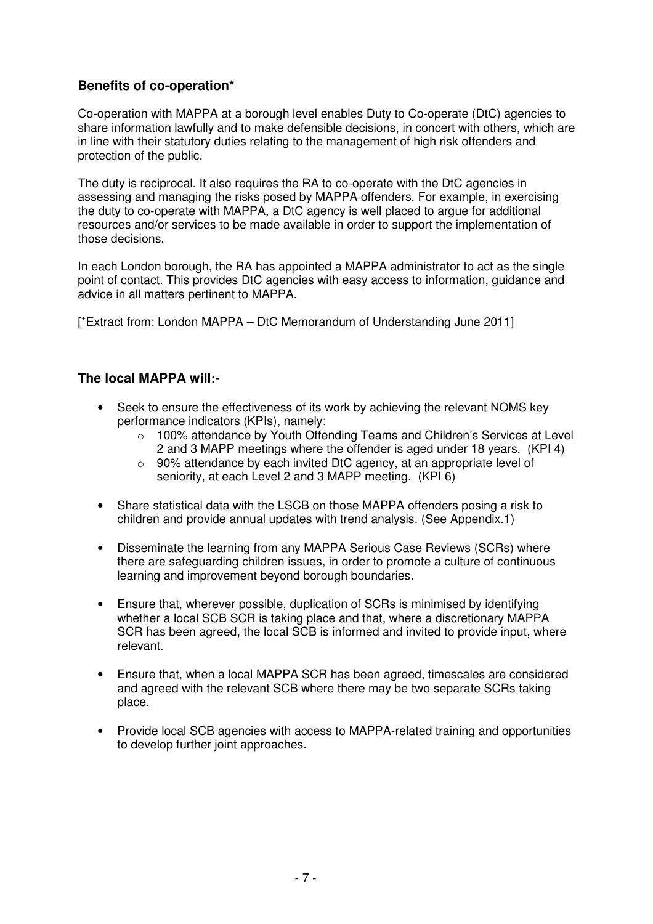### **Benefits of co-operation\***

Co-operation with MAPPA at a borough level enables Duty to Co-operate (DtC) agencies to share information lawfully and to make defensible decisions, in concert with others, which are in line with their statutory duties relating to the management of high risk offenders and protection of the public.

The duty is reciprocal. It also requires the RA to co-operate with the DtC agencies in assessing and managing the risks posed by MAPPA offenders. For example, in exercising the duty to co-operate with MAPPA, a DtC agency is well placed to argue for additional resources and/or services to be made available in order to support the implementation of those decisions.

In each London borough, the RA has appointed a MAPPA administrator to act as the single point of contact. This provides DtC agencies with easy access to information, guidance and advice in all matters pertinent to MAPPA.

[\*Extract from: London MAPPA – DtC Memorandum of Understanding June 2011]

#### **The local MAPPA will:-**

- Seek to ensure the effectiveness of its work by achieving the relevant NOMS key performance indicators (KPIs), namely:
	- o 100% attendance by Youth Offending Teams and Children's Services at Level 2 and 3 MAPP meetings where the offender is aged under 18 years. (KPI 4)
	- o 90% attendance by each invited DtC agency, at an appropriate level of seniority, at each Level 2 and 3 MAPP meeting. (KPI 6)
- Share statistical data with the LSCB on those MAPPA offenders posing a risk to children and provide annual updates with trend analysis. (See Appendix.1)
- Disseminate the learning from any MAPPA Serious Case Reviews (SCRs) where there are safeguarding children issues, in order to promote a culture of continuous learning and improvement beyond borough boundaries.
- Ensure that, wherever possible, duplication of SCRs is minimised by identifying whether a local SCB SCR is taking place and that, where a discretionary MAPPA SCR has been agreed, the local SCB is informed and invited to provide input, where relevant.
- Ensure that, when a local MAPPA SCR has been agreed, timescales are considered and agreed with the relevant SCB where there may be two separate SCRs taking place.
- Provide local SCB agencies with access to MAPPA-related training and opportunities to develop further joint approaches.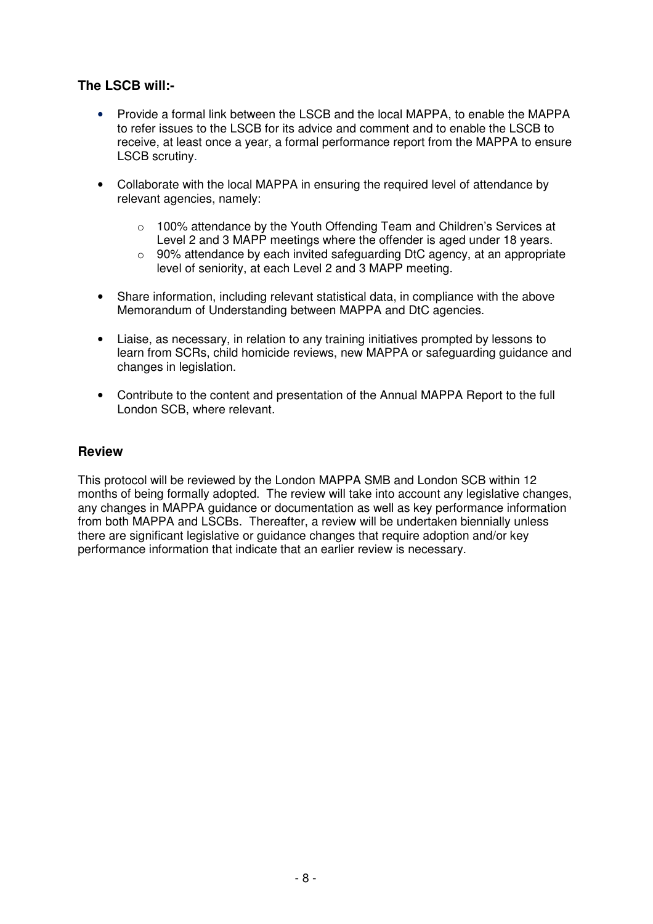### **The LSCB will:-**

- Provide a formal link between the LSCB and the local MAPPA, to enable the MAPPA to refer issues to the LSCB for its advice and comment and to enable the LSCB to receive, at least once a year, a formal performance report from the MAPPA to ensure LSCB scrutiny.
- Collaborate with the local MAPPA in ensuring the required level of attendance by relevant agencies, namely:
	- o 100% attendance by the Youth Offending Team and Children's Services at Level 2 and 3 MAPP meetings where the offender is aged under 18 years.
	- o 90% attendance by each invited safeguarding DtC agency, at an appropriate level of seniority, at each Level 2 and 3 MAPP meeting.
- Share information, including relevant statistical data, in compliance with the above Memorandum of Understanding between MAPPA and DtC agencies.
- Liaise, as necessary, in relation to any training initiatives prompted by lessons to learn from SCRs, child homicide reviews, new MAPPA or safeguarding guidance and changes in legislation.
- Contribute to the content and presentation of the Annual MAPPA Report to the full London SCB, where relevant.

#### **Review**

This protocol will be reviewed by the London MAPPA SMB and London SCB within 12 months of being formally adopted. The review will take into account any legislative changes, any changes in MAPPA guidance or documentation as well as key performance information from both MAPPA and LSCBs. Thereafter, a review will be undertaken biennially unless there are significant legislative or guidance changes that require adoption and/or key performance information that indicate that an earlier review is necessary.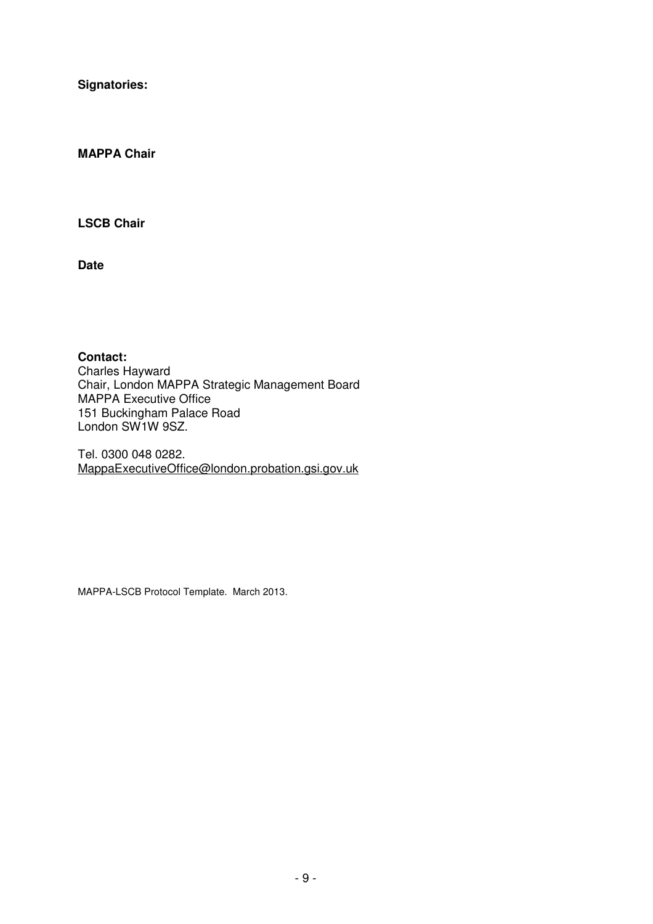**Signatories:** 

**MAPPA Chair** 

**LSCB Chair** 

**Date** 

**Contact:**  Charles Hayward Chair, London MAPPA Strategic Management Board MAPPA Executive Office 151 Buckingham Palace Road London SW1W 9SZ.

Tel. 0300 048 0282. MappaExecutiveOffice@london.probation.gsi.gov.uk

MAPPA-LSCB Protocol Template. March 2013.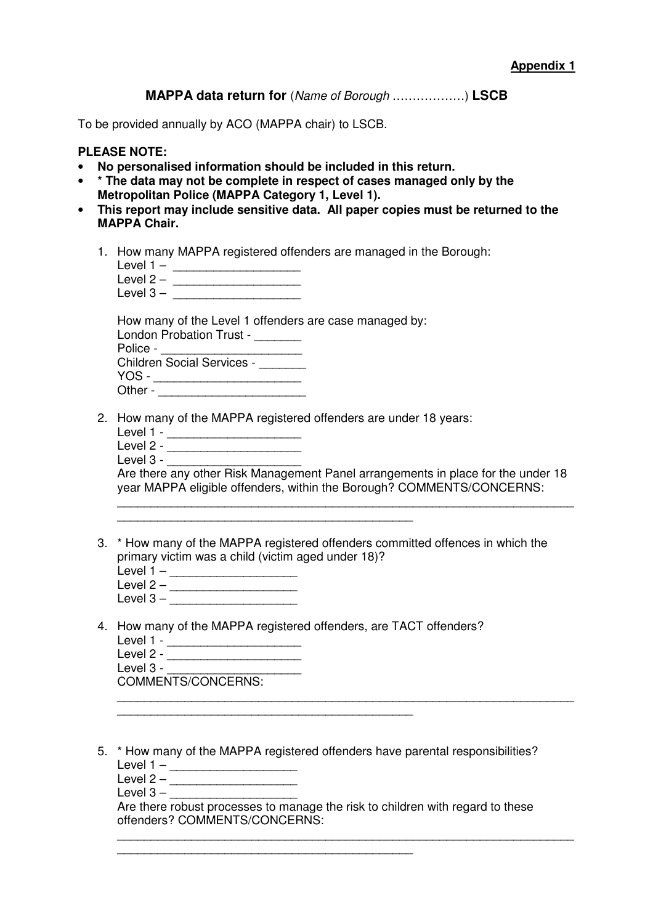**MAPPA data return for** (Name of Borough ………………) **LSCB**

To be provided annually by ACO (MAPPA chair) to LSCB.

#### **PLEASE NOTE:**

- **No personalised information should be included in this return.**
- **\* The data may not be complete in respect of cases managed only by the Metropolitan Police (MAPPA Category 1, Level 1).**
- **This report may include sensitive data. All paper copies must be returned to the MAPPA Chair.** 
	- 1. How many MAPPA registered offenders are managed in the Borough:

| Level $1 -$ |  |
|-------------|--|
| Level $2 -$ |  |
| Level $3 -$ |  |

How many of the Level 1 offenders are case managed by:

| <b>London Probation Trust -</b>   |  |
|-----------------------------------|--|
| Police -                          |  |
| <b>Children Social Services -</b> |  |
| YOS -                             |  |
| Other -                           |  |

2. How many of the MAPPA registered offenders are under 18 years:

 $\mathcal{L}_\text{max}$  and the contract of the contract of the contract of the contract of the contract of the contract of the contract of the contract of the contract of the contract of the contract of the contract of the contrac

- Level 1 \_\_\_\_\_\_\_\_\_\_\_\_\_\_\_\_\_\_\_\_\_\_\_\_
- Level 2 \_\_\_\_\_\_\_\_\_\_\_\_\_\_\_\_\_\_\_\_\_\_\_\_
- Level  $3 -$

Are there any other Risk Management Panel arrangements in place for the under 18 year MAPPA eligible offenders, within the Borough? COMMENTS/CONCERNS:

\_\_\_\_\_\_\_\_\_\_\_\_\_\_\_\_\_\_\_\_\_\_\_\_\_\_\_\_\_\_\_\_\_\_\_\_\_\_\_\_\_\_\_\_\_\_\_\_\_\_\_\_\_\_\_\_\_\_\_\_\_\_\_\_\_\_\_\_

\_\_\_\_\_\_\_\_\_\_\_\_\_\_\_\_\_\_\_\_\_\_\_\_\_\_\_\_\_\_\_\_\_\_\_\_\_\_\_\_\_\_\_\_\_\_\_\_\_\_\_\_\_\_\_\_\_\_\_\_\_\_\_\_\_\_\_\_

- 3. \* How many of the MAPPA registered offenders committed offences in which the primary victim was a child (victim aged under 18)?
	- Level 1 \_\_\_\_\_\_\_\_\_\_\_\_\_\_\_\_\_\_\_\_\_\_
	- Level 2 \_\_\_\_\_\_\_\_\_\_\_\_\_\_\_\_\_\_\_ Level  $3 -$
- 4. How many of the MAPPA registered offenders, are TACT offenders?

\_\_\_\_\_\_\_\_\_\_\_\_\_\_\_\_\_\_\_\_\_\_\_\_\_\_\_\_\_\_\_\_\_\_\_\_\_\_\_\_\_\_\_\_

| Level 1 -          |  |
|--------------------|--|
| Level 2 -          |  |
| Level 3 -          |  |
| COMMENTS/CONCERNS: |  |

- 5. \* How many of the MAPPA registered offenders have parental responsibilities? Level 1 –  $\frac{1}{2}$ 
	- $Level 2 \_$

Level  $3 -$ 

Are there robust processes to manage the risk to children with regard to these offenders? COMMENTS/CONCERNS:

\_\_\_\_\_\_\_\_\_\_\_\_\_\_\_\_\_\_\_\_\_\_\_\_\_\_\_\_\_\_\_\_\_\_\_\_\_\_\_\_\_\_\_\_\_\_\_\_\_\_\_\_\_\_\_\_\_\_\_\_\_\_\_\_\_\_\_\_